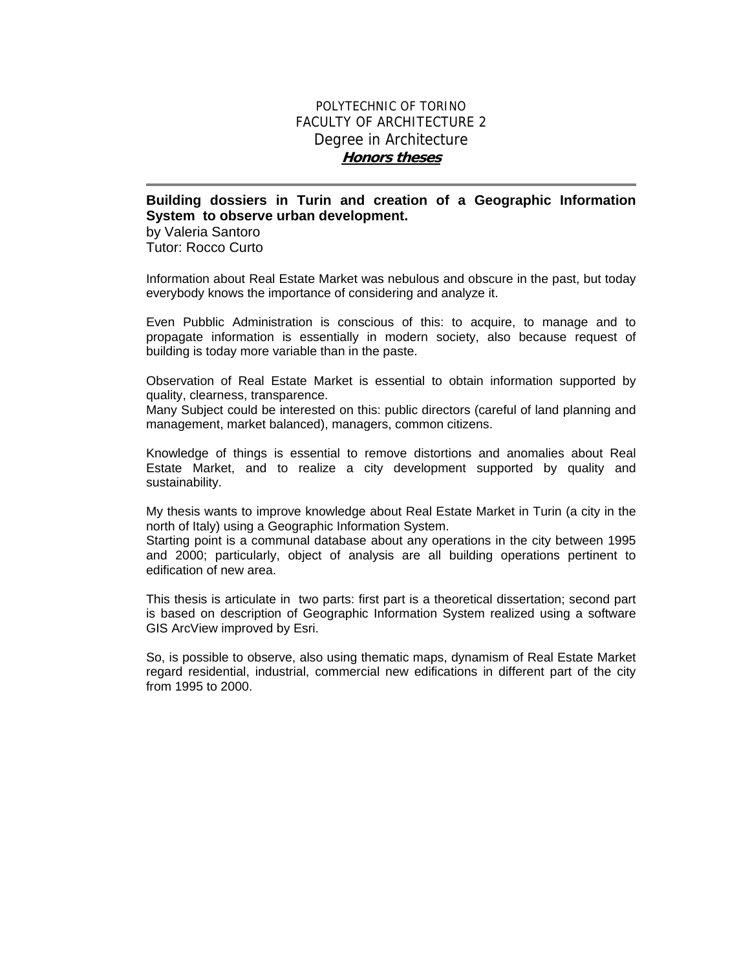## POLYTECHNIC OF TORINO FACULTY OF ARCHITECTURE 2 Degree in Architecture **Honors theses**

## **Building dossiers in Turin and creation of a Geographic Information System to observe urban development.**

by Valeria Santoro Tutor: Rocco Curto

Information about Real Estate Market was nebulous and obscure in the past, but today everybody knows the importance of considering and analyze it.

Even Pubblic Administration is conscious of this: to acquire, to manage and to propagate information is essentially in modern society, also because request of building is today more variable than in the paste.

Observation of Real Estate Market is essential to obtain information supported by quality, clearness, transparence.

Many Subject could be interested on this: public directors (careful of land planning and management, market balanced), managers, common citizens.

Knowledge of things is essential to remove distortions and anomalies about Real Estate Market, and to realize a city development supported by quality and sustainability.

My thesis wants to improve knowledge about Real Estate Market in Turin (a city in the north of Italy) using a Geographic Information System.

Starting point is a communal database about any operations in the city between 1995 and 2000; particularly, object of analysis are all building operations pertinent to edification of new area.

This thesis is articulate in two parts: first part is a theoretical dissertation; second part is based on description of Geographic Information System realized using a software GIS ArcView improved by Esri.

So, is possible to observe, also using thematic maps, dynamism of Real Estate Market regard residential, industrial, commercial new edifications in different part of the city from 1995 to 2000.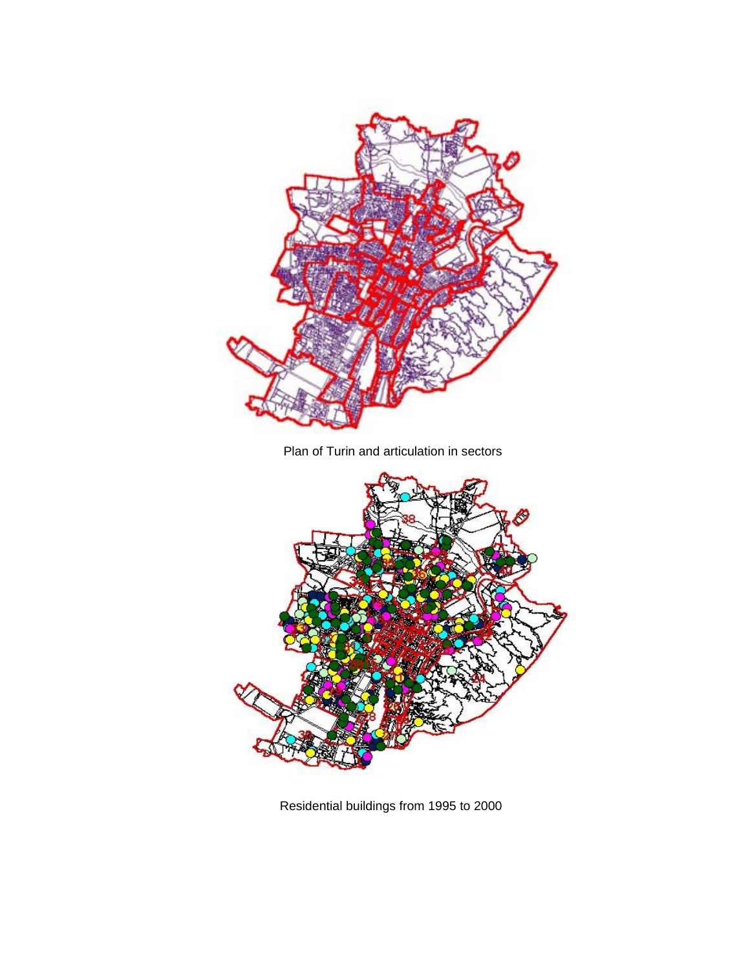

Plan of Turin and articulation in sectors



Residential buildings from 1995 to 2000